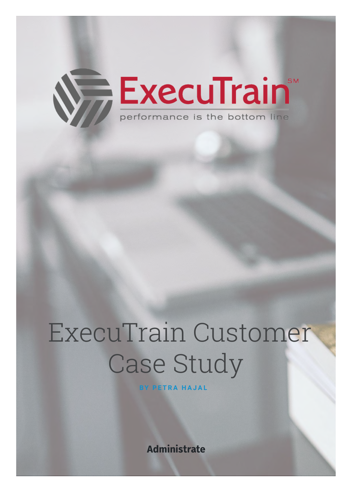

# ExecuTrain Customer Case Study

**BY PETRA HAJAL**

**Administrate**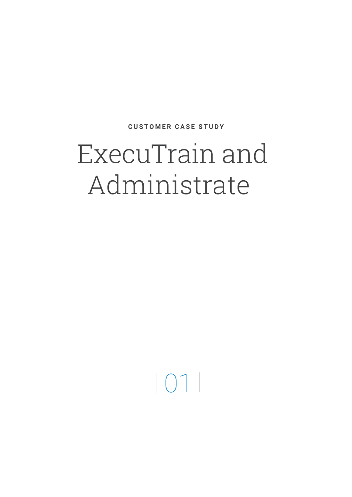#### ExecuTrain and Administrate

 $|01|$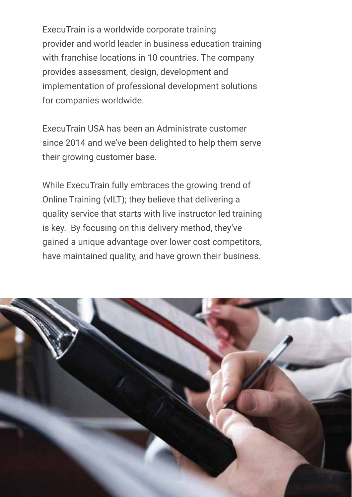ExecuTrain is a worldwide corporate training provider and world leader in business education training with franchise locations in 10 countries. The company provides assessment, design, development and implementation of professional development solutions for companies worldwide.

ExecuTrain USA has been an Administrate customer since 2014 and we've been delighted to help them serve their growing customer base.

While ExecuTrain fully embraces the growing trend of Online Training (vILT); they believe that delivering a quality service that starts with live instructor-led training is key. By focusing on this delivery method, they've gained a unique advantage over lower cost competitors, have maintained quality, and have grown their business.

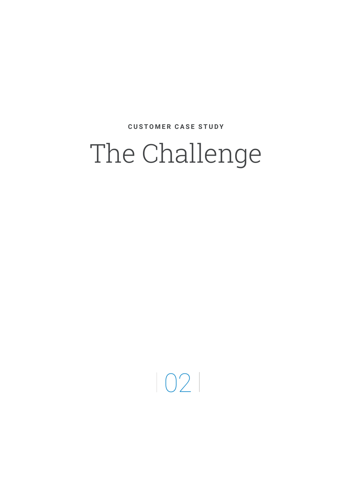#### The Challenge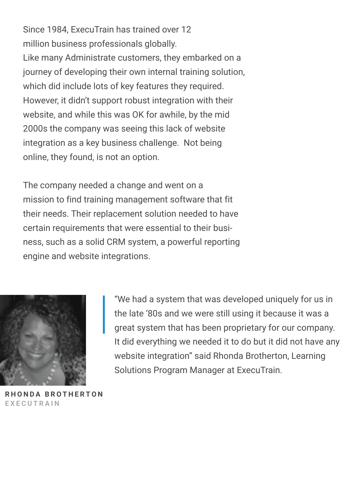Since 1984, ExecuTrain has trained over 12 million business professionals globally. Like many Administrate customers, they embarked on a journey of developing their own internal training solution, which did include lots of key features they required. However, it didn't support robust integration with their website, and while this was OK for awhile, by the mid 2000s the company was seeing this lack of website integration as a key business challenge. Not being online, they found, is not an option.

The company needed a change and went on a mission to find training management software that fit their needs. Their replacement solution needed to have certain requirements that were essential to their business, such as a solid CRM system, a powerful reporting engine and website integrations.



**RHONDA BROTHERTON EXECUTRAIN**

"We had a system that was developed uniquely for us in the late '80s and we were still using it because it was a great system that has been proprietary for our company. It did everything we needed it to do but it did not have any website integration" said Rhonda Brotherton, Learning Solutions Program Manager at ExecuTrain.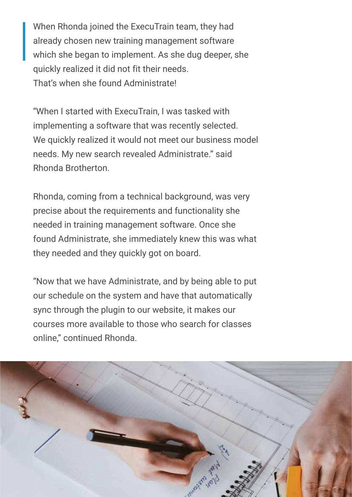When Rhonda joined the ExecuTrain team, they had already chosen new training management software which she began to implement. As she dug deeper, she quickly realized it did not fit their needs. That's when she found Administrate!

"When I started with ExecuTrain, I was tasked with implementing a software that was recently selected. We quickly realized it would not meet our business model needs. My new search revealed Administrate." said Rhonda Brotherton.

Rhonda, coming from a technical background, was very precise about the requirements and functionality she needed in training management software. Once she found Administrate, she immediately knew this was what they needed and they quickly got on board.

"Now that we have Administrate, and by being able to put our schedule on the system and have that automatically sync through the plugin to our website, it makes our courses more available to those who search for classes online," continued Rhonda.

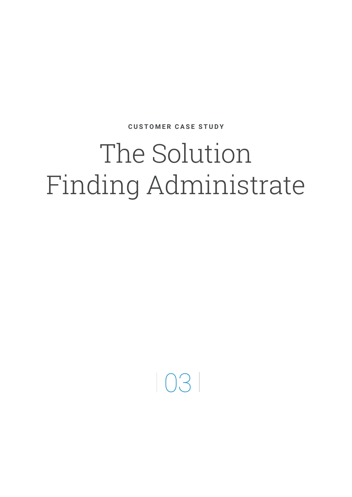# The Solution Finding Administrate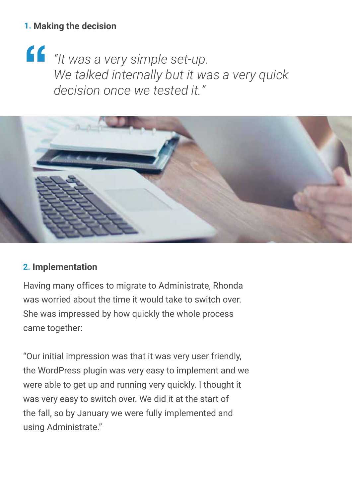#### **1. Making the decision**

**"** *"It was a very simple set-up. We talked internally but it was a very quick decision once we tested it."*



#### **2. Implementation**

Having many offices to migrate to Administrate, Rhonda was worried about the time it would take to switch over. She was impressed by how quickly the whole process came together:

"Our initial impression was that it was very user friendly, the WordPress plugin was very easy to implement and we were able to get up and running very quickly. I thought it was very easy to switch over. We did it at the start of the fall, so by January we were fully implemented and using Administrate."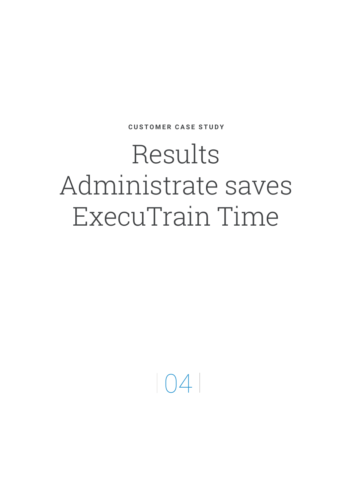#### Results Administrate saves ExecuTrain Time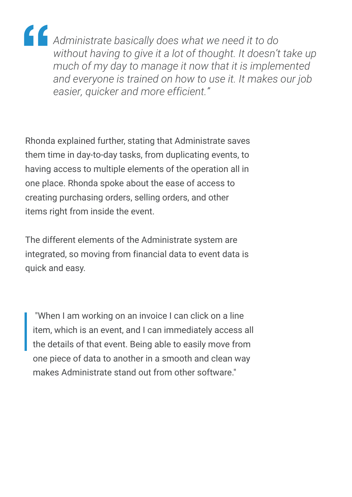**"** *Administrate basically does what we need it to do without having to give it a lot of thought. It doesn't take up much of my day to manage it now that it is implemented and everyone is trained on how to use it. It makes our job easier, quicker and more efficient."*

Rhonda explained further, stating that Administrate saves them time in day-to-day tasks, from duplicating events, to having access to multiple elements of the operation all in one place. Rhonda spoke about the ease of access to creating purchasing orders, selling orders, and other items right from inside the event.

The different elements of the Administrate system are integrated, so moving from financial data to event data is quick and easy.

 "When I am working on an invoice I can click on a line item, which is an event, and I can immediately access all the details of that event. Being able to easily move from one piece of data to another in a smooth and clean way makes Administrate stand out from other software."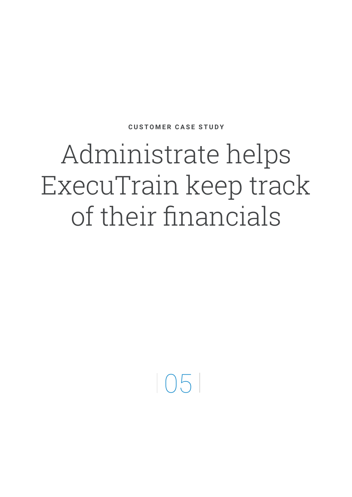## Administrate helps ExecuTrain keep track of their financials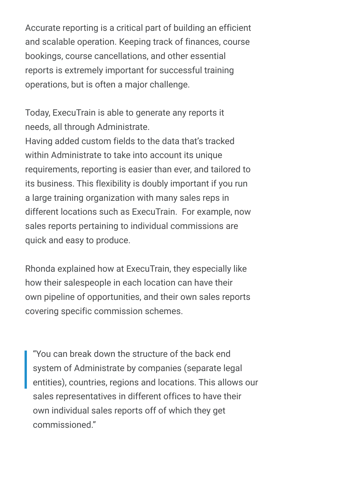Accurate reporting is a critical part of building an efficient and scalable operation. Keeping track of finances, course bookings, course cancellations, and other essential reports is extremely important for successful training operations, but is often a major challenge.

Today, ExecuTrain is able to generate any reports it needs, all through Administrate.

Having added custom fields to the data that's tracked within Administrate to take into account its unique requirements, reporting is easier than ever, and tailored to its business. This flexibility is doubly important if you run a large training organization with many sales reps in different locations such as ExecuTrain. For example, now sales reports pertaining to individual commissions are quick and easy to produce.

Rhonda explained how at ExecuTrain, they especially like how their salespeople in each location can have their own pipeline of opportunities, and their own sales reports covering specific commission schemes.

"You can break down the structure of the back end system of Administrate by companies (separate legal entities), countries, regions and locations. This allows our sales representatives in different offices to have their own individual sales reports off of which they get commissioned."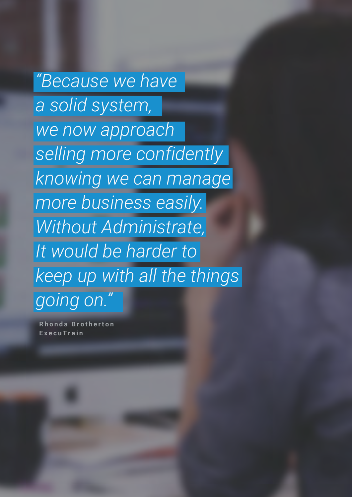*"Because we have a solid system, we now approach selling more confidently knowing we can manage more business easily. Without Administrate, It would be harder to keep up with all the things going on."*

**Rhonda Brotherton ExecuTrain**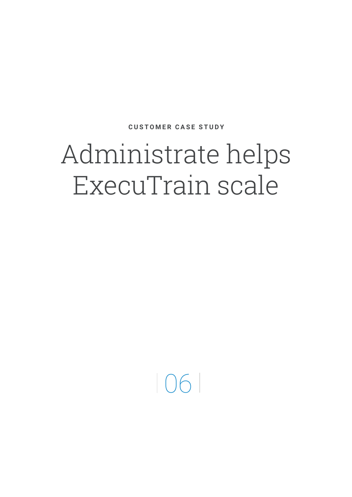## Administrate helps ExecuTrain scale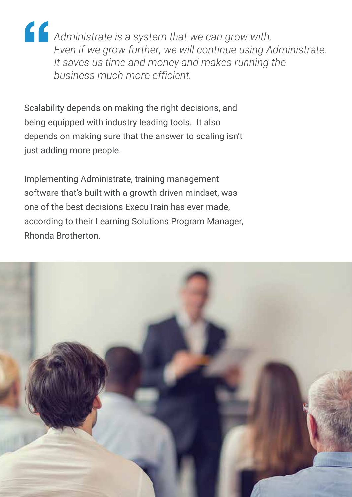**"** *Administrate is a system that we can grow with. Even if we grow further, we will continue using Administrate. It saves us time and money and makes running the business much more efficient.*

Scalability depends on making the right decisions, and being equipped with industry leading tools. It also depends on making sure that the answer to scaling isn't just adding more people.

Implementing Administrate, training management software that's built with a growth driven mindset, was one of the best decisions ExecuTrain has ever made, according to their Learning Solutions Program Manager, Rhonda Brotherton.

![](_page_14_Picture_3.jpeg)